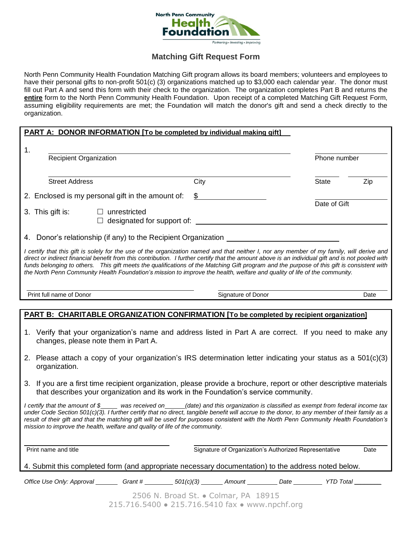

## **Matching Gift Request Form**

North Penn Community Health Foundation Matching Gift program allows its board members; volunteers and employees to have their personal gifts to non-profit 501(c) (3) organizations matched up to \$3,000 each calendar year. The donor must fill out Part A and send this form with their check to the organization. The organization completes Part B and returns the **entire** form to the North Penn Community Health Foundation. Upon receipt of a completed Matching Gift Request Form, assuming eligibility requirements are met; the Foundation will match the donor's gift and send a check directly to the organization.

| <b>PART A: DONOR INFORMATION [To be completed by individual making gift]</b>                                                                                                                                                                                                                                                                                                                                                                                                                                                                                              |                    |                                                       |                     |
|---------------------------------------------------------------------------------------------------------------------------------------------------------------------------------------------------------------------------------------------------------------------------------------------------------------------------------------------------------------------------------------------------------------------------------------------------------------------------------------------------------------------------------------------------------------------------|--------------------|-------------------------------------------------------|---------------------|
| 1.<br>Recipient Organization                                                                                                                                                                                                                                                                                                                                                                                                                                                                                                                                              |                    |                                                       | Phone number        |
|                                                                                                                                                                                                                                                                                                                                                                                                                                                                                                                                                                           |                    |                                                       |                     |
| <b>Street Address</b>                                                                                                                                                                                                                                                                                                                                                                                                                                                                                                                                                     | City               |                                                       | <b>State</b><br>Zip |
| 2. Enclosed is my personal gift in the amount of:                                                                                                                                                                                                                                                                                                                                                                                                                                                                                                                         | \$                 |                                                       | Date of Gift        |
| 3. This gift is:<br>$\Box$ unrestricted<br>designated for support of:<br>$\Box$                                                                                                                                                                                                                                                                                                                                                                                                                                                                                           |                    |                                                       |                     |
| 4. Donor's relationship (if any) to the Recipient Organization _________________                                                                                                                                                                                                                                                                                                                                                                                                                                                                                          |                    |                                                       |                     |
| I certify that this gift is solely for the use of the organization named and that neither I, nor any member of my family, will derive and<br>direct or indirect financial benefit from this contribution. I further certify that the amount above is an individual gift and is not pooled with<br>funds belonging to others. This gift meets the qualifications of the Matching Gift program and the purpose of this gift is consistent with<br>the North Penn Community Health Foundation's mission to improve the health, welfare and quality of life of the community. |                    |                                                       |                     |
| Print full name of Donor                                                                                                                                                                                                                                                                                                                                                                                                                                                                                                                                                  | Signature of Donor |                                                       | Date                |
| <b>PART B: CHARITABLE ORGANIZATION CONFIRMATION [To be completed by recipient organization]</b>                                                                                                                                                                                                                                                                                                                                                                                                                                                                           |                    |                                                       |                     |
| 1. Verify that your organization's name and address listed in Part A are correct. If you need to make any<br>changes, please note them in Part A.<br>2. Please attach a copy of your organization's IRS determination letter indicating your status as a 501(c)(3)<br>organization.                                                                                                                                                                                                                                                                                       |                    |                                                       |                     |
| 3. If you are a first time recipient organization, please provide a brochure, report or other descriptive materials<br>that describes your organization and its work in the Foundation's service community.                                                                                                                                                                                                                                                                                                                                                               |                    |                                                       |                     |
| I certify that the amount of \$____ was received on____(date) and this organization is classified as exempt from federal income tax<br>under Code Section 501(c)(3). I further certify that no direct, tangible benefit will accrue to the donor, to any member of their family as a<br>result of their gift and that the matching gift will be used for purposes consistent with the North Penn Community Health Foundation's<br>mission to improve the health, welfare and quality of life of the community.                                                            |                    |                                                       |                     |
| Print name and title                                                                                                                                                                                                                                                                                                                                                                                                                                                                                                                                                      |                    | Signature of Organization's Authorized Representative | Date                |
| 4. Submit this completed form (and appropriate necessary documentation) to the address noted below.                                                                                                                                                                                                                                                                                                                                                                                                                                                                       |                    |                                                       |                     |
| Office Use Only: Approval _________ Grant # _________ 501(c)(3) _______ Amount __________ Date __________ YTD Total ________                                                                                                                                                                                                                                                                                                                                                                                                                                              |                    |                                                       |                     |
| 2506 N. Broad St. . Colmar, PA 18915<br>215.716.5400 · 215.716.5410 fax · www.npchf.org                                                                                                                                                                                                                                                                                                                                                                                                                                                                                   |                    |                                                       |                     |